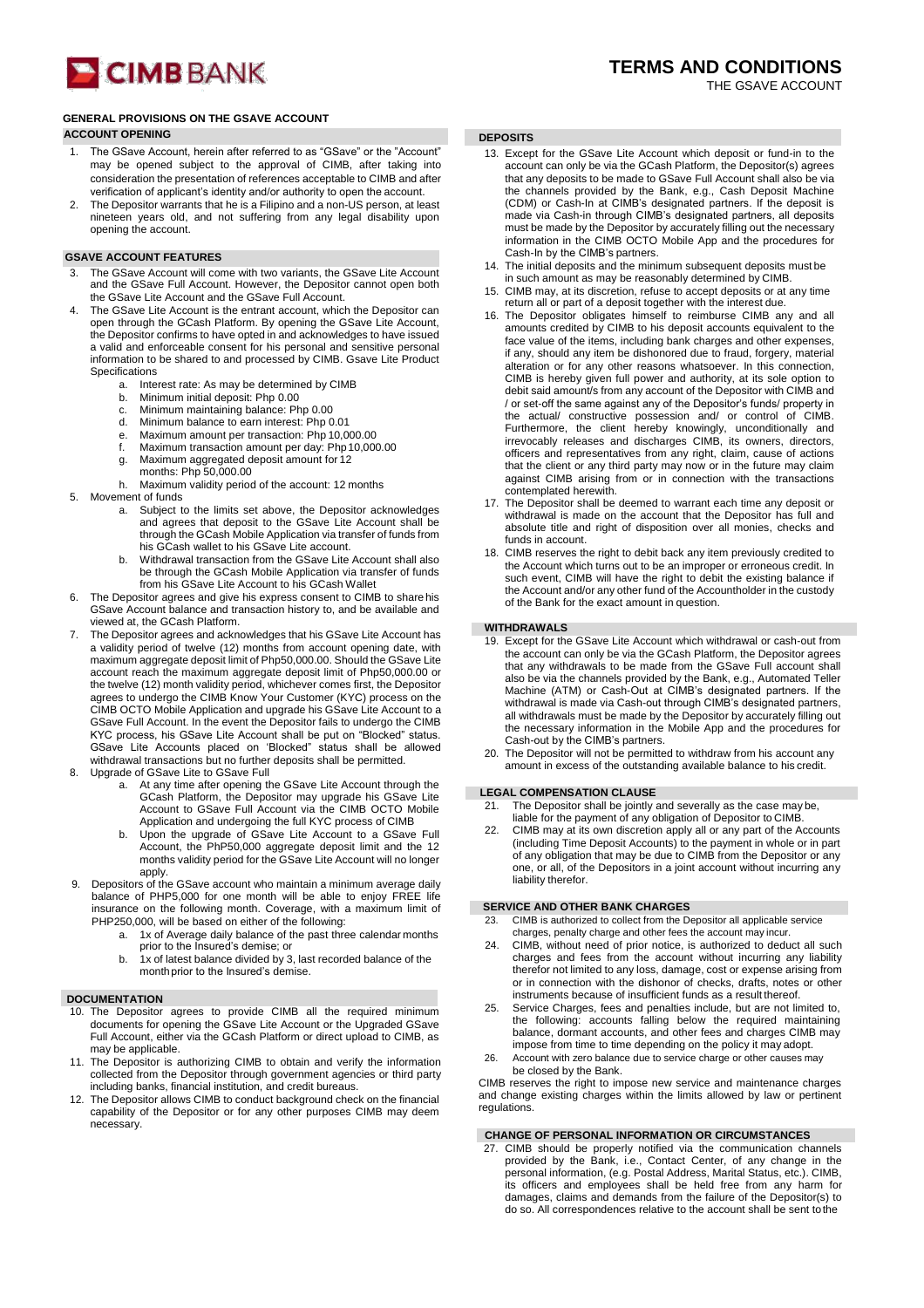# **CIMB** BANK

# **GENERAL PROVISIONS ON THE GSAVE ACCOUNT**

# **ACCOUNT OPENING DEPOSITS**

- 1. The GSave Account, herein after referred to as "GSave" or the "Account" may be opened subject to the approval of CIMB, after taking into consideration the presentation of references acceptable to CIMB and after verification of applicant's identity and/or authority to open the account.
- The Depositor warrants that he is a Filipino and a non-US person, at least nineteen years old, and not suffering from any legal disability upon opening the account.

# **GSAVE ACCOUNT FEATURES**

- The GSave Account will come with two variants, the GSave Lite Account and the GSave Full Account. However, the Depositor cannot open both the GSave Lite Account and the GSave Full Account.
- 4. The GSave Lite Account is the entrant account, which the Depositor can open through the GCash Platform. By opening the GSave Lite Account, the Depositor confirms to have opted in and acknowledges to have issued a valid and enforceable consent for his personal and sensitive personal information to be shared to and processed by CIMB. Gsave Lite Product Specifications
	- a. Interest rate: As may be determined by CIMB
	- b. Minimum initial deposit: Php 0.00 c. Minimum maintaining balance: Ph
	- c. Minimum maintaining balance: Php 0.00<br>d. Minimum balance to earn interest: Php 0
	- d. Minimum balance to earn interest: Php 0.01<br>e. Maximum amount per transaction: Php 10,0
	- e. Maximum amount per transaction: Php 10,000.00
	- Maximum transaction amount per day: Php 10,000.00
	-
	- g. Maximum aggregated deposit amount for 12 months: Php 50,000.00
	- h. Maximum validity period of the account: 12 months
- 5. Movement of funds
	- a. Subject to the limits set above, the Depositor acknowledges and agrees that deposit to the GSave Lite Account shall be through the GCash Mobile Application via transfer of funds from his GCash wallet to his GSave Lite account.
	- b. Withdrawal transaction from the GSave Lite Account shall also be through the GCash Mobile Application via transfer of funds from his GSave Lite Account to his GCash Wallet
- 6. The Depositor agrees and give his express consent to CIMB to share his GSave Account balance and transaction history to, and be available and viewed at, the GCash Platform.
- The Depositor agrees and acknowledges that his GSave Lite Account has a validity period of twelve (12) months from account opening date, with maximum aggregate deposit limit of Php50,000.00. Should the GSave Lite account reach the maximum aggregate deposit limit of Php50,000.00 or the twelve (12) month validity period, whichever comes first, the Depositor agrees to undergo the CIMB Know Your Customer (KYC) process on the CIMB OCTO Mobile Application and upgrade his GSave Lite Account to a GSave Full Account. In the event the Depositor fails to undergo the CIMB KYC process, his GSave Lite Account shall be put on "Blocked" status. GSave Lite Accounts placed on 'Blocked" status shall be allowed withdrawal transactions but no further deposits shall be permitted.
- 8. Upgrade of GSave Lite to GSave Full
	- a. At any time after opening the GSave Lite Account through the GCash Platform, the Depositor may upgrade his GSave Lite Account to GSave Full Account via the CIMB OCTO Mobile Application and undergoing the full KYC process of CIMB
	- b. Upon the upgrade of GSave Lite Account to a GSave Full Account, the PhP50,000 aggregate deposit limit and the 12 months validity period for the GSave Lite Account will no longer apply.
- Depositors of the GSave account who maintain a minimum average daily balance of PHP5,000 for one month will be able to enjoy FREE life insurance on the following month. Coverage, with a maximum limit of PHP250,000, will be based on either of the following:
	- a. 1x of Average daily balance of the past three calendar months prior to the Insured's demise; or
	- b. 1x of latest balance divided by 3, last recorded balance of the monthprior to the Insured's demise.

# **DOCUMENTATION**

- The Depositor agrees to provide CIMB all the required minimum documents for opening the GSave Lite Account or the Upgraded GSave Full Account, either via the GCash Platform or direct upload to CIMB, as may be applicable.
- 11. The Depositor is authorizing CIMB to obtain and verify the information collected from the Depositor through government agencies or third party including banks, financial institution, and credit bureaus.
- 12. The Depositor allows CIMB to conduct background check on the financial capability of the Depositor or for any other purposes CIMB may deem necessary.

- 13. Except for the GSave Lite Account which deposit or fund-in to the account can only be via the GCash Platform, the Depositor(s) agrees that any deposits to be made to GSave Full Account shall also be via the channels provided by the Bank, e.g., Cash Deposit Machine (CDM) or Cash-In at CIMB's designated partners. If the deposit is made via Cash-in through CIMB's designated partners, all deposits must be made by the Depositor by accurately filling out the necessary information in the CIMB OCTO Mobile App and the procedures for Cash-In by the CIMB's partners.
- 14. The initial deposits and the minimum subsequent deposits must be in such amount as may be reasonably determined by CIMB.
- 15. CIMB may, at its discretion, refuse to accept deposits or at any time return all or part of a deposit together with the interest due.
- 16. The Depositor obligates himself to reimburse CIMB any and all amounts credited by CIMB to his deposit accounts equivalent to the face value of the items, including bank charges and other expenses, if any, should any item be dishonored due to fraud, forgery, material alteration or for any other reasons whatsoever. In this connection, CIMB is hereby given full power and authority, at its sole option to debit said amount/s from any account of the Depositor with CIMB and / or set-off the same against any of the Depositor's funds/ property in the actual/ constructive possession and/ or control of CIMB. Furthermore, the client hereby knowingly, unconditionally and irrevocably releases and discharges CIMB, its owners, directors, officers and representatives from any right, claim, cause of actions that the client or any third party may now or in the future may claim against CIMB arising from or in connection with the transactions
- contemplated herewith. 17. The Depositor shall be deemed to warrant each time any deposit or withdrawal is made on the account that the Depositor has full and absolute title and right of disposition over all monies, checks and funds in account.
- 18. CIMB reserves the right to debit back any item previously credited to the Account which turns out to be an improper or erroneous credit. In such event, CIMB will have the right to debit the existing balance if the Account and/or any other fund of the Accountholder in the custody of the Bank for the exact amount in question.

## **WITHDRAWALS**

- 19. Except for the GSave Lite Account which withdrawal or cash-out from the account can only be via the GCash Platform, the Depositor agrees that any withdrawals to be made from the GSave Full account shall also be via the channels provided by the Bank, e.g., Automated Teller Machine (ATM) or Cash-Out at CIMB's designated partners. If the withdrawal is made via Cash-out through CIMB's designated partners, all withdrawals must be made by the Depositor by accurately filling out the necessary information in the Mobile App and the procedures for Cash-out by the CIMB's partners.
- 20. The Depositor will not be permitted to withdraw from his account any amount in excess of the outstanding available balance to his credit.

# **LEGAL COMPENSATION CLAUSE**

- 21. The Depositor shall be jointly and severally as the case may be, liable for the payment of any obligation of Depositor to CIMB.
- 22. CIMB may at its own discretion apply all or any part of the Accounts (including Time Deposit Accounts) to the payment in whole or in part of any obligation that may be due to CIMB from the Depositor or any one, or all, of the Depositors in a joint account without incurring any liability therefor.

# **SERVICE AND OTHER BANK CHARGES**

- CIMB is authorized to collect from the Depositor all applicable service charges, penalty charge and other fees the account may incur.
- 24. CIMB, without need of prior notice, is authorized to deduct all such charges and fees from the account without incurring any liability therefor not limited to any loss, damage, cost or expense arising from or in connection with the dishonor of checks, drafts, notes or other instruments because of insufficient funds as a result thereof.
- 25. Service Charges, fees and penalties include, but are not limited to, the following: accounts falling below the required maintaining balance, dormant accounts, and other fees and charges CIMB may impose from time to time depending on the policy it may adopt.
- 26. Account with zero balance due to service charge or other causes may be closed by the Bank.

CIMB reserves the right to impose new service and maintenance charges and change existing charges within the limits allowed by law or pertinent regulations

# **CHANGE OF PERSONAL INFORMATION OR CIRCUMSTANCES**

27. CIMB should be properly notified via the communication channels provided by the Bank, i.e., Contact Center, of any change in the personal information, (e.g. Postal Address, Marital Status, etc.). CIMB, its officers and employees shall be held free from any harm for damages, claims and demands from the failure of the Depositor(s) to do so. All correspondences relative to the account shall be sent tothe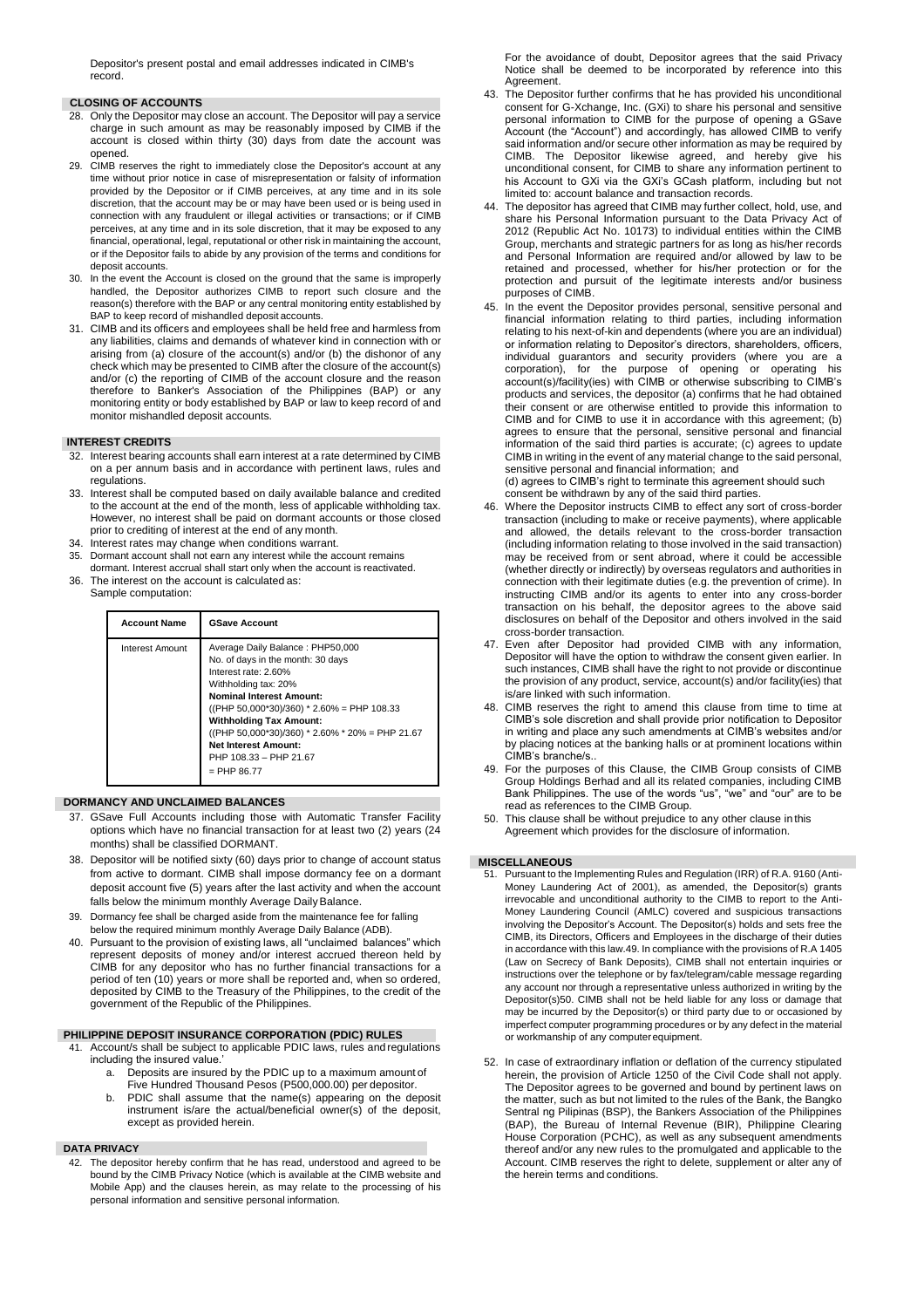Depositor's present postal and email addresses indicated in CIMB's record.

# **CLOSING OF ACCOUNTS**

- 28. Only the Depositor may close an account. The Depositor will pay a service charge in such amount as may be reasonably imposed by CIMB if the account is closed within thirty (30) days from date the account was opened.
- 29. CIMB reserves the right to immediately close the Depositor's account at any time without prior notice in case of misrepresentation or falsity of information provided by the Depositor or if CIMB perceives, at any time and in its sole discretion, that the account may be or may have been used or is being used in connection with any fraudulent or illegal activities or transactions; or if CIMB perceives, at any time and in its sole discretion, that it may be exposed to any financial, operational, legal, reputational or other risk in maintaining the account. or if the Depositor fails to abide by any provision of the terms and conditions for deposit accounts.
- 30. In the event the Account is closed on the ground that the same is improperly handled, the Depositor authorizes CIMB to report such closure and the reason(s) therefore with the BAP or any central monitoring entity established by BAP to keep record of mishandled deposit accounts.
- 31. CIMB and its officers and employees shall be held free and harmless from any liabilities, claims and demands of whatever kind in connection with or arising from (a) closure of the account(s) and/or (b) the dishonor of any check which may be presented to CIMB after the closure of the account(s) and/or (c) the reporting of CIMB of the account closure and the reason therefore to Banker's Association of the Philippines (BAP) or any monitoring entity or body established by BAP or law to keep record of and monitor mishandled deposit accounts.

## **INTEREST CREDITS**

- 32. Interest bearing accounts shall earn interest at a rate determined by CIMB on a per annum basis and in accordance with pertinent laws, rules and regulations.
- 33. Interest shall be computed based on daily available balance and credited to the account at the end of the month, less of applicable withholding tax. However, no interest shall be paid on dormant accounts or those closed prior to crediting of interest at the end of any month.
- 34. Interest rates may change when conditions warrant.
- 35. Dormant account shall not earn any interest while the account remains dormant. Interest accrual shall start only when the account is reactivated.
- 36. The interest on the account is calculated as: Sample computation:

| <b>Account Name</b> | <b>GSave Account</b>                                                                                                                                                                                                                                                                                                                                                  |
|---------------------|-----------------------------------------------------------------------------------------------------------------------------------------------------------------------------------------------------------------------------------------------------------------------------------------------------------------------------------------------------------------------|
| Interest Amount     | Average Daily Balance: PHP50,000<br>No. of days in the month: 30 days<br>Interest rate: 2.60%<br>Withholding tax: 20%<br><b>Nominal Interest Amount:</b><br>$((PHP 50,000*30)/360)*2.60% = PHP 108.33$<br><b>Withholding Tax Amount:</b><br>((PHP 50,000*30)/360) * 2.60% * 20% = PHP 21.67<br><b>Net Interest Amount:</b><br>PHP 108.33 - PHP 21.67<br>$=$ PHP 86.77 |

### **DORMANCY AND UNCLAIMED BALANCES**

- 37. GSave Full Accounts including those with Automatic Transfer Facility options which have no financial transaction for at least two (2) years (24 months) shall be classified DORMANT.
- 38. Depositor will be notified sixty (60) days prior to change of account status from active to dormant. CIMB shall impose dormancy fee on a dormant deposit account five (5) years after the last activity and when the account falls below the minimum monthly Average Daily Balance.
- 39. Dormancy fee shall be charged aside from the maintenance fee for falling below the required minimum monthly Average Daily Balance (ADB).
- 40. Pursuant to the provision of existing laws, all "unclaimed balances" which represent deposits of money and/or interest accrued thereon held by CIMB for any depositor who has no further financial transactions for a period of ten (10) years or more shall be reported and, when so ordered, deposited by CIMB to the Treasury of the Philippines, to the credit of the government of the Republic of the Philippines.

# **PHILIPPINE DEPOSIT INSURANCE CORPORATION (PDIC) RULES**

- 41. Account/s shall be subject to applicable PDIC laws, rules and regulations including the insured value.'
	- a. Deposits are insured by the PDIC up to a maximum amount of Five Hundred Thousand Pesos (P500,000.00) per depositor.
	- PDIC shall assume that the name(s) appearing on the deposit instrument is/are the actual/beneficial owner(s) of the deposit, except as provided herein.

#### **DATA PRIVACY**

42. The depositor hereby confirm that he has read, understood and agreed to be bound by the CIMB Privacy Notice (which is available at the CIMB website and Mobile App) and the clauses herein, as may relate to the processing of his personal information and sensitive personal information.

For the avoidance of doubt, Depositor agrees that the said Privacy Notice shall be deemed to be incorporated by reference into this Agreement.

- 43. The Depositor further confirms that he has provided his unconditional consent for G-Xchange, Inc. (GXi) to share his personal and sensitive personal information to CIMB for the purpose of opening a GSave Account (the "Account") and accordingly, has allowed CIMB to verify said information and/or secure other information as may be required by CIMB. The Depositor likewise agreed, and hereby give his unconditional consent, for CIMB to share any information pertinent to his Account to GXi via the GXi's GCash platform, including but not limited to: account balance and transaction records.
- 44. The depositor has agreed that CIMB may further collect, hold, use, and share his Personal Information pursuant to the Data Privacy Act of 2012 (Republic Act No. 10173) to individual entities within the CIMB Group, merchants and strategic partners for as long as his/her records and Personal Information are required and/or allowed by law to be retained and processed, whether for his/her protection or for the protection and pursuit of the legitimate interests and/or business purposes of CIMB.
- 45. In the event the Depositor provides personal, sensitive personal and financial information relating to third parties, including information relating to his next-of-kin and dependents (where you are an individual) or information relating to Depositor's directors, shareholders, officers, individual guarantors and security providers (where you are a corporation), for the purpose of opening or operating his account(s)/facility(ies) with CIMB or otherwise subscribing to CIMB's products and services, the depositor (a) confirms that he had obtained their consent or are otherwise entitled to provide this information to CIMB and for CIMB to use it in accordance with this agreement; (b) agrees to ensure that the personal, sensitive personal and financial information of the said third parties is accurate; (c) agrees to update CIMB in writing in the event of any material change to the said personal, sensitive personal and financial information; and

(d) agrees to CIMB's right to terminate this agreement should such consent be withdrawn by any of the said third parties.

- 46. Where the Depositor instructs CIMB to effect any sort of cross-border transaction (including to make or receive payments), where applicable and allowed, the details relevant to the cross-border transaction (including information relating to those involved in the said transaction) may be received from or sent abroad, where it could be accessible (whether directly or indirectly) by overseas regulators and authorities in connection with their legitimate duties (e.g. the prevention of crime). In instructing CIMB and/or its agents to enter into any cross-border transaction on his behalf, the depositor agrees to the above said disclosures on behalf of the Depositor and others involved in the said cross-border transaction.
- 47. Even after Depositor had provided CIMB with any information, Depositor will have the option to withdraw the consent given earlier. In such instances, CIMB shall have the right to not provide or discontinue the provision of any product, service, account(s) and/or facility(ies) that is/are linked with such information.
- 48. CIMB reserves the right to amend this clause from time to time at CIMB's sole discretion and shall provide prior notification to Depositor in writing and place any such amendments at CIMB's websites and/or by placing notices at the banking halls or at prominent locations within CIMB's branche/s..
- 49. For the purposes of this Clause, the CIMB Group consists of CIMB Group Holdings Berhad and all its related companies, including CIMB Bank Philippines. The use of the words "us", "we" and "our" are to be read as references to the CIMB Group.
- 50. This clause shall be without prejudice to any other clause in this Agreement which provides for the disclosure of information.

### **MISCELLANEOUS**

- 51. Pursuant to the Implementing Rules and Regulation (IRR) of R.A. 9160 (Anti-Money Laundering Act of 2001), as amended, the Depositor(s) grants irrevocable and unconditional authority to the CIMB to report to the Anti-Money Laundering Council (AMLC) covered and suspicious transactions involving the Depositor's Account. The Depositor(s) holds and sets free the CIMB, its Directors, Officers and Employees in the discharge of their duties in accordance with this law.49. In compliance with the provisions of R.A 1405 (Law on Secrecy of Bank Deposits), CIMB shall not entertain inquiries or instructions over the telephone or by fax/telegram/cable message regarding any account nor through a representative unless authorized in writing by the Depositor(s)50. CIMB shall not be held liable for any loss or damage that may be incurred by the Depositor(s) or third party due to or occasioned by imperfect computer programming procedures or by any defect in the material or workmanship of any computerequipment.
- 52. In case of extraordinary inflation or deflation of the currency stipulated herein, the provision of Article 1250 of the Civil Code shall not apply. The Depositor agrees to be governed and bound by pertinent laws on the matter, such as but not limited to the rules of the Bank, the Bangko Sentral ng Pilipinas (BSP), the Bankers Association of the Philippines (BAP), the Bureau of Internal Revenue (BIR), Philippine Clearing House Corporation (PCHC), as well as any subsequent amendments thereof and/or any new rules to the promulgated and applicable to the Account. CIMB reserves the right to delete, supplement or alter any of the herein terms and conditions.